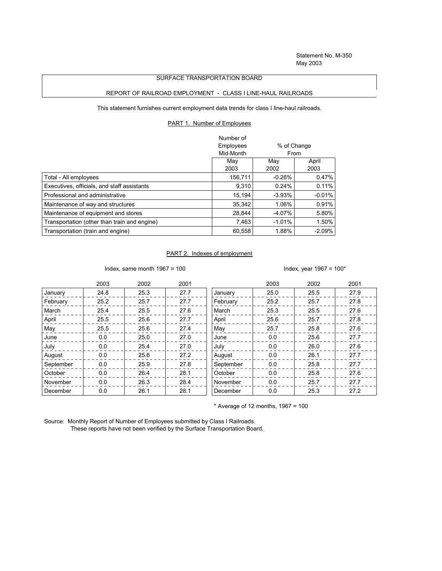# SURFACE TRANSPORTATION BOARD

### REPORT OF RAILROAD EMPLOYMENT - CLASS I LINE-HAUL RAILROADS

This statement furnishes current employment data trends for class I line-haul railroads.

## PART 1. Number of Employees

|                                              | Number of<br>Employees<br>Mid-Month |             | % of Change<br>From |  |
|----------------------------------------------|-------------------------------------|-------------|---------------------|--|
|                                              | May<br>2003                         | May<br>2002 | April<br>2003       |  |
| Total - All employees                        | 156,711                             | $-0.26%$    | 0.47%               |  |
| Executives, officials, and staff assistants  | 9.310                               | 0.24%       | 0.11%               |  |
| Professional and administrative              | 15.194                              | $-3.93\%$   | $-0.01%$            |  |
| Maintenance of way and structures            | 35,342                              | 1.06%       | 0.91%               |  |
| Maintenance of equipment and stores          | 28,844                              | $-4.07\%$   | 5.80%               |  |
| Transportation (other than train and engine) | 7.463                               | $-1.01%$    | 1.50%               |  |
| Transportation (train and engine)            | 60,558                              | 1.88%       | $-2.09%$            |  |

# PART 2. Indexes of employment

Index, same month 1967 = 100  $\blacksquare$ 

|           | 2003 | 2002 | 2001 |           | 2003 | 2002 | 2001 |
|-----------|------|------|------|-----------|------|------|------|
| January   | 24.8 | 25.3 | 27.7 | January   | 25.0 | 25.5 | 27.9 |
| February  | 25.2 | 25.7 | 27.7 | February  | 25.2 | 25.7 | 27.8 |
| March     | 25.4 | 25.5 | 27.6 | March     | 25.3 | 25.5 | 27.6 |
| April     | 25.5 | 25.6 | 27.7 | April     | 25.6 | 25.7 | 27.8 |
| May       | 25.5 | 25.6 | 27.4 | May       | 25.7 | 25.8 | 27.6 |
| June      | 0.0  | 25.0 | 27.0 | June      | 0.0  | 25.6 | 27.7 |
| July      | 0.0  | 25.4 | 27.0 | July      | 0.0  | 26.0 | 27.6 |
| August    | 0.0  | 25.6 | 27.2 | August    | 0.0  | 26.1 | 27.7 |
| September | 0.0  | 25.9 | 27.8 | September | 0.0  | 25.8 | 27.7 |
| October   | 0.0  | 26.4 | 28.1 | October   | 0.0  | 25.8 | 27.6 |
| November  | 0.0  | 26.3 | 28.4 | November  | 0.0  | 25.7 | 27.7 |
| December  | 0.0  | 26.1 | 28.1 | December  | 0.0  | 25.3 | 27.2 |

 $*$  Average of 12 months, 1967 = 100

Source: Monthly Report of Number of Employees submitted by Class I Railroads. These reports have not been verified by the Surface Transportation Board.